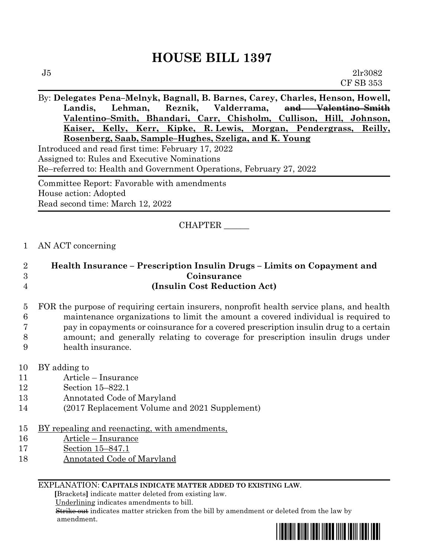## **HOUSE BILL 1397**

By: **Delegates Pena–Melnyk, Bagnall, B. Barnes, Carey, Charles, Henson, Howell, Landis, Lehman, Reznik, Valderrama, and Valentino–Smith Valentino–Smith, Bhandari, Carr, Chisholm, Cullison, Hill, Johnson, Kaiser, Kelly, Kerr, Kipke, R. Lewis, Morgan, Pendergrass, Reilly, Rosenberg, Saab, Sample–Hughes, Szeliga, and K. Young** Introduced and read first time: February 17, 2022 Assigned to: Rules and Executive Nominations Re–referred to: Health and Government Operations, February 27, 2022 Committee Report: Favorable with amendments House action: Adopted

Read second time: March 12, 2022

## CHAPTER \_\_\_\_\_\_

## 1 AN ACT concerning

| 2              | Health Insurance – Prescription Insulin Drugs – Limits on Copayment and                   |
|----------------|-------------------------------------------------------------------------------------------|
| 3              | Coinsurance                                                                               |
| $\overline{4}$ | (Insulin Cost Reduction Act)                                                              |
| 5 <sup>5</sup> | FOR the purpose of requiring certain insurers, nonprofit health service plans, and health |
| 6              | maintenance organizations to limit the amount a covered individual is required to         |
| 7              | pay in copayments or coinsurance for a covered prescription insulin drug to a certain     |
| 8              | amount; and generally relating to coverage for prescription insulin drugs under           |

- 9 health insurance.
- 10 BY adding to
- 11 Article Insurance
- 12 Section 15–822.1
- 13 Annotated Code of Maryland
- 14 (2017 Replacement Volume and 2021 Supplement)
- 15 BY repealing and reenacting, with amendments,
- 16 Article Insurance
- 17 Section 15–847.1
- 18 Annotated Code of Maryland

## EXPLANATION: **CAPITALS INDICATE MATTER ADDED TO EXISTING LAW**.

 **[**Brackets**]** indicate matter deleted from existing law.

Underlining indicates amendments to bill.

 Strike out indicates matter stricken from the bill by amendment or deleted from the law by amendment.

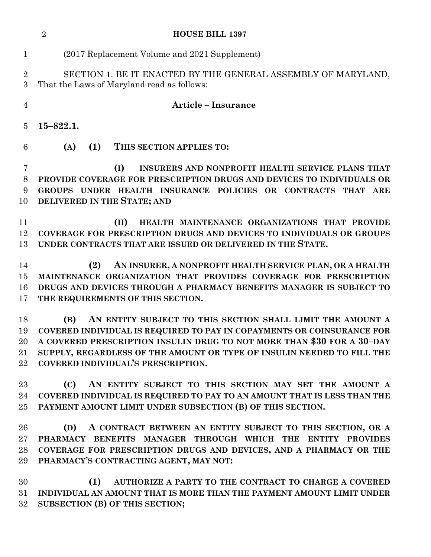|                                        | $\overline{2}$<br><b>HOUSE BILL 1397</b>                                                                                                                                                                                                                                                                                              |
|----------------------------------------|---------------------------------------------------------------------------------------------------------------------------------------------------------------------------------------------------------------------------------------------------------------------------------------------------------------------------------------|
| $\mathbf{1}$                           | (2017 Replacement Volume and 2021 Supplement)                                                                                                                                                                                                                                                                                         |
| $\overline{2}$<br>3                    | SECTION 1. BE IT ENACTED BY THE GENERAL ASSEMBLY OF MARYLAND,<br>That the Laws of Maryland read as follows:                                                                                                                                                                                                                           |
| $\overline{4}$                         | <b>Article - Insurance</b>                                                                                                                                                                                                                                                                                                            |
| 5                                      | $15 - 822.1.$                                                                                                                                                                                                                                                                                                                         |
| 6                                      | (A)<br>(1) THIS SECTION APPLIES TO:                                                                                                                                                                                                                                                                                                   |
| 7<br>8<br>9<br>10                      | INSURERS AND NONPROFIT HEALTH SERVICE PLANS THAT<br>(I)<br>PROVIDE COVERAGE FOR PRESCRIPTION DRUGS AND DEVICES TO INDIVIDUALS OR<br>GROUPS UNDER HEALTH INSURANCE POLICIES OR CONTRACTS THAT ARE<br>DELIVERED IN THE STATE; AND                                                                                                       |
| 11<br>12<br>13                         | HEALTH MAINTENANCE ORGANIZATIONS THAT PROVIDE<br>(II)<br>COVERAGE FOR PRESCRIPTION DRUGS AND DEVICES TO INDIVIDUALS OR GROUPS<br>UNDER CONTRACTS THAT ARE ISSUED OR DELIVERED IN THE STATE.                                                                                                                                           |
| 14<br>15<br>16<br>17                   | AN INSURER, A NONPROFIT HEALTH SERVICE PLAN, OR A HEALTH<br>(2)<br>MAINTENANCE ORGANIZATION THAT PROVIDES COVERAGE FOR PRESCRIPTION<br>DRUGS AND DEVICES THROUGH A PHARMACY BENEFITS MANAGER IS SUBJECT TO<br>THE REQUIREMENTS OF THIS SECTION.                                                                                       |
| 18<br>19<br>$20\,$<br>$21\,$<br>$22\,$ | (B)<br>AN ENTITY SUBJECT TO THIS SECTION SHALL LIMIT THE AMOUNT A<br>COVERED INDIVIDUAL IS REQUIRED TO PAY IN COPAYMENTS OR COINSURANCE FOR<br>A COVERED PRESCRIPTION INSULIN DRUG TO NOT MORE THAN \$30 FOR A 30-DAY<br>SUPPLY, REGARDLESS OF THE AMOUNT OR TYPE OF INSULIN NEEDED TO FILL THE<br>COVERED INDIVIDUAL'S PRESCRIPTION. |
| $23\,$<br>24<br>$25\,$                 | (C) AN ENTITY SUBJECT TO THIS SECTION MAY SET THE AMOUNT A<br>COVERED INDIVIDUAL IS REQUIRED TO PAY TO AN AMOUNT THAT IS LESS THAN THE<br>PAYMENT AMOUNT LIMIT UNDER SUBSECTION (B) OF THIS SECTION.                                                                                                                                  |
| 26<br>$27\,$<br>28<br>29               | (D)<br>A CONTRACT BETWEEN AN ENTITY SUBJECT TO THIS SECTION, OR A<br>PHARMACY BENEFITS MANAGER THROUGH WHICH THE ENTITY PROVIDES<br>COVERAGE FOR PRESCRIPTION DRUGS AND DEVICES, AND A PHARMACY OR THE<br>PHARMACY'S CONTRACTING AGENT, MAY NOT:                                                                                      |

 **(1) AUTHORIZE A PARTY TO THE CONTRACT TO CHARGE A COVERED INDIVIDUAL AN AMOUNT THAT IS MORE THAN THE PAYMENT AMOUNT LIMIT UNDER SUBSECTION (B) OF THIS SECTION;**